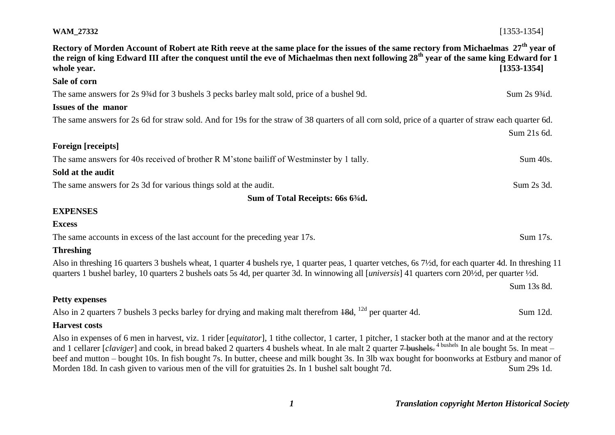# **WAM\_27332** [1353-1354] **Rectory of Morden Account of Robert ate Rith reeve at the same place for the issues of the same rectory from Michaelmas 27th year of the reign of king Edward III after the conquest until the eve of Michaelmas then next following 28th year of the same king Edward for 1 whole year. [1353-1354] Sale of corn** The same answers for 2s 9<sup>3</sup>/4d for 3 bushels 3 pecks barley malt sold, price of a bushel 9d. Sum 2s 9<sup>3</sup>/4d. **Issues of the manor** The same answers for 2s 6d for straw sold. And for 19s for the straw of 38 quarters of all corn sold, price of a quarter of straw each quarter 6d. Sum 21s 6d. **Foreign [receipts]** The same answers for 40s received of brother R M'stone bailiff of Westminster by 1 tally. Sum 40s. **Sold at the audit**  The same answers for 2s 3d for various things sold at the audit. Sum 2s 3d. Sum 2s 3d. **Sum of Total Receipts: 66s 6¾d. EXPENSES Excess** The same accounts in excess of the last account for the preceding year 17s. Sum 17s. **Threshing** Also in threshing 16 quarters 3 bushels wheat, 1 quarter 4 bushels rye, 1 quarter peas, 1 quarter vetches, 6s 7½d, for each quarter 4d. In threshing 11 quarters 1 bushel barley, 10 quarters 2 bushels oats 5s 4d, per quarter 3d. In winnowing all [*universis*] 41 quarters corn 20½d, per quarter ½d. Sum 13s 8d. **Petty expenses** Also in 2 quarters 7 bushels 3 pecks barley for drying and making malt therefrom  $18d$ ,  $^{12d}$  per quarter 4d. Sum 12d. **Harvest costs** Also in expenses of 6 men in harvest, viz. 1 rider [*equitator*], 1 tithe collector, 1 carter, 1 pitcher, 1 stacker both at the manor and at the rectory and 1 cellarer *[claviger]* and cook, in bread baked 2 quarters 4 bushels wheat. In ale malt 2 quarter 7 bushels.<sup>4 bushels</sup> In ale bought 5s. In meat – beef and mutton – bought 10s. In fish bought 7s. In butter, cheese and milk bought 3s. In 3lb wax bought for boonworks at Estbury and manor of Morden 18d. In cash given to various men of the vill for gratuities 2s. In 1 bushel salt bought 7d. Sum 29s 1d.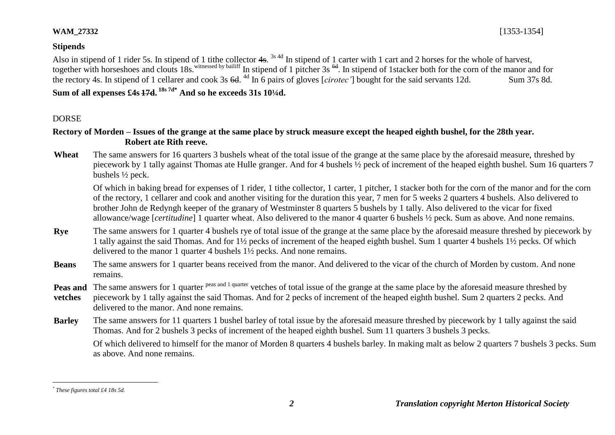#### **Stipends**

Also in stipend of 1 rider 5s. In stipend of 1 tithe collector 4s. <sup>3s 4d</sup> In stipend of 1 carter with 1 cart and 2 horses for the whole of harvest, together with horseshoes and clouts 18s.<sup>witnessed by bailiff</sup> In stipend of 1 pitcher 3s <sup>6d</sup>. In stipend of 1stacker both for the corn of the manor and for the rectory 4s. In stipend of 1 cellarer and cook 3s <del>6d</del>. <sup>4d</sup> In 6 pairs of gloves [*cirotec'*] bought for the said servants 12d. Sum 37s 8d. **Sum of all expenses £4s 17d. 18s 7d\* And so he exceeds 31s 10¼d.** 

### DORSE

### **Rectory of Morden – Issues of the grange at the same place by struck measure except the heaped eighth bushel, for the 28th year. Robert ate Rith reeve.**

Wheat The same answers for 16 quarters 3 bushels wheat of the total issue of the grange at the same place by the aforesaid measure, threshed by piecework by 1 tally against Thomas ate Hulle granger. And for 4 bushels ½ peck of increment of the heaped eighth bushel. Sum 16 quarters 7 bushels ½ peck.

Of which in baking bread for expenses of 1 rider, 1 tithe collector, 1 carter, 1 pitcher, 1 stacker both for the corn of the manor and for the corn of the rectory, 1 cellarer and cook and another visiting for the duration this year, 7 men for 5 weeks 2 quarters 4 bushels. Also delivered to brother John de Redyngh keeper of the granary of Westminster 8 quarters 5 bushels by 1 tally. Also delivered to the vicar for fixed allowance/wage [*certitudine*] 1 quarter wheat. Also delivered to the manor 4 quarter 6 bushels ½ peck. Sum as above. And none remains.

- **Rye** The same answers for 1 quarter 4 bushels rye of total issue of the grange at the same place by the aforesaid measure threshed by piecework by 1 tally against the said Thomas. And for 1½ pecks of increment of the heaped eighth bushel. Sum 1 quarter 4 bushels 1½ pecks. Of which delivered to the manor 1 quarter 4 bushels 1½ pecks. And none remains.
- **Beans** The same answers for 1 quarter beans received from the manor. And delivered to the vicar of the church of Morden by custom. And none remains.
- Peas and The same answers for 1 quarter <sup>peas and 1 quarter</sup> vetches of total issue of the grange at the same place by the aforesaid measure threshed by
- **vetches** piecework by 1 tally against the said Thomas. And for 2 pecks of increment of the heaped eighth bushel. Sum 2 quarters 2 pecks. And delivered to the manor. And none remains.
- **Barley** The same answers for 11 quarters 1 bushel barley of total issue by the aforesaid measure threshed by piecework by 1 tally against the said Thomas. And for 2 bushels 3 pecks of increment of the heaped eighth bushel. Sum 11 quarters 3 bushels 3 pecks.

Of which delivered to himself for the manor of Morden 8 quarters 4 bushels barley. In making malt as below 2 quarters 7 bushels 3 pecks. Sum as above. And none remains.

1

*<sup>\*</sup> These figures total £4 18s 5d.*